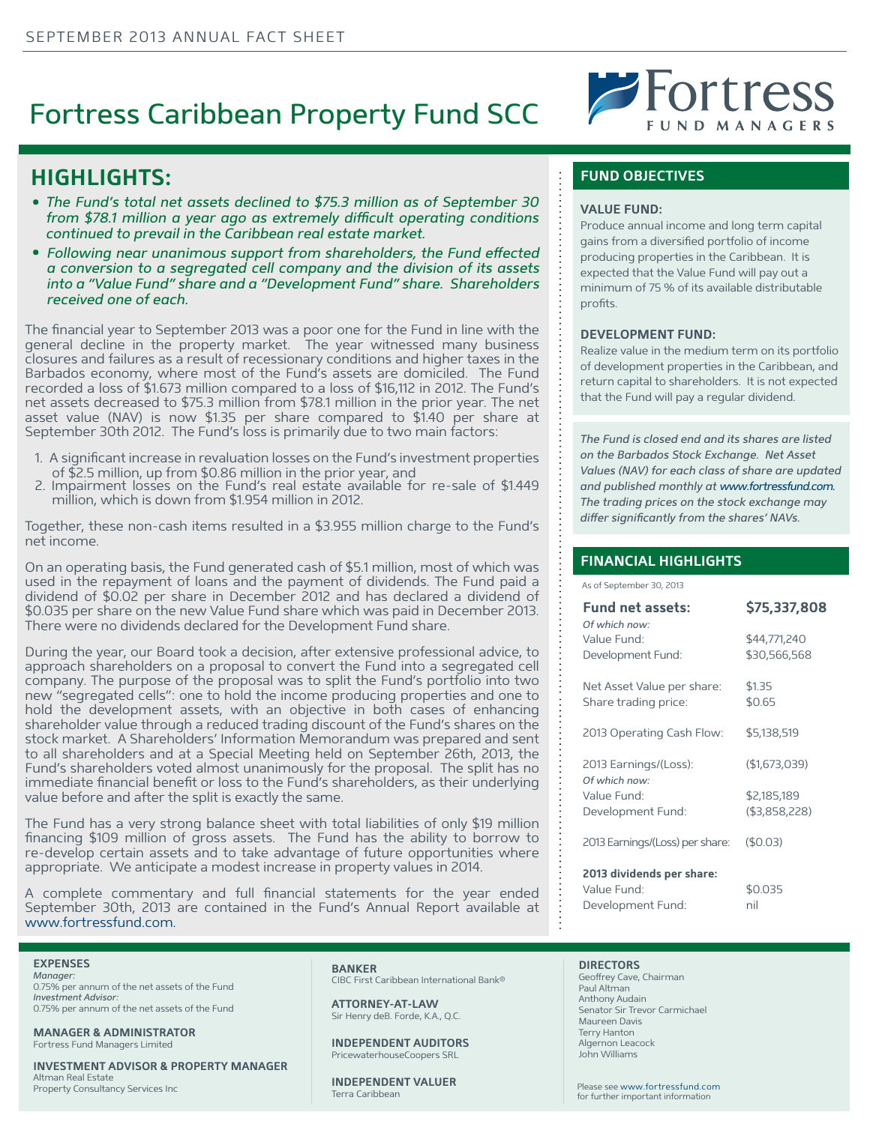# Fortress Caribbean Property Fund SCC



# **HIGHLIGHTS:**

- The Fund's total net assets declined to \$75.3 million as of September 30 from \$78.1 million a year ago as extremely difficult operating conditions *continued to prevail in the Caribbean real estate market.*
- Following near unanimous support from shareholders, the Fund effected *a conversion to a segregated cell company and the division of its assets into a "Value Fund" share and a "Development Fund" share. Shareholders received one of each.*

The financial year to September 2013 was a poor one for the Fund in line with the general decline in the property market. The year witnessed many business closures and failures as a result of recessionary conditions and higher taxes in the Barbados economy, where most of the Fund's assets are domiciled. The Fund recorded a loss of \$1.673 million compared to a loss of \$16,112 in 2012. The Fund's net assets decreased to \$75.3 million from \$78.1 million in the prior year. The net asset value (NAV) is now \$1.35 per share compared to \$1.40 per share at September 30th 2012. The Fund's loss is primarily due to two main factors:

- 1. A significant increase in revaluation losses on the Fund's investment properties
- 2. Impairment losses on the Fund's real estate available for re-sale of \$1.449 million, which is down from \$1.954 million in 2012.

Together, these non-cash items resulted in a \$3.955 million charge to the Fund's net income.

On an operating basis, the Fund generated cash of \$5.1 million, most of which was used in the repayment of loans and the payment of dividends. The Fund paid a dividend of \$0.02 per share in December 2012 and has declared a dividend of \$0.035 per share on the new Value Fund share which was paid in December 2013. There were no dividends declared for the Development Fund share.

During the year, our Board took a decision, after extensive professional advice, to approach shareholders on a proposal to convert the Fund into a segregated cell company. The purpose of the proposal was to split the Fund's portfolio into two new "segregated cells": one to hold the income producing properties and one to hold the development assets, with an objective in both cases of enhancing shareholder value through a reduced trading discount of the Fund's shares on the stock market. A Shareholders' Information Memorandum was prepared and sent to all shareholders and at a Special Meeting held on September 26th, 2013, the Fund's shareholders voted almost unanimously for the proposal. The split has no immediate financial benefit or loss to the Fund's shareholders, as their underlying value before and after the split is exactly the same.

The Fund has a very strong balance sheet with total liabilities of only \$19 million financing \$109 million of gross assets. The Fund has the ability to borrow to re-develop certain assets and to take advantage of future opportunities where appropriate. We anticipate a modest increase in property values in 2014.

A complete commentary and full financial statements for the year ended September 30th, 2013 are contained in the Fund's Annual Report available at www.fortressfund.com.

### **EXPENSES**

*Manager:*  0.75% per annum of the net assets of the Fund *Investment Advisor:*  0.75% per annum of the net assets of the Fund

**MANAGER & ADMINISTRATOR** Fortress Fund Managers Limited

**INVESTMENT ADVISOR & PROPERTY MANAGER** Altman Real Estate Property Consultancy Services Inc

# **BANKER**

CIBC First Caribbean International Bank®

**ATTORNEY-AT-LAW** Sir Henry deB. Forde, K.A., Q.C.

**INDEPENDENT AUDITORS** PricewaterhouseCoopers SRL

**INDEPENDENT VALUER** Terra Caribbean

## **FUND OBJECTIVES**

## **VALUE FUND:**

Produce annual income and long term capital gains from a diversified portfolio of income producing properties in the Caribbean. It is expected that the Value Fund will pay out a minimum of 75 % of its available distributable profits.

## **DEVELOPMENT FUND:**

Realize value in the medium term on its portfolio of development properties in the Caribbean, and return capital to shareholders. It is not expected that the Fund will pay a regular dividend.

*The Fund is closed end and its shares are listed on the Barbados Stock Exchange. Net Asset Values (NAV) for each class of share are updated and published monthly at www.fortressfund.com. The trading prices on the stock exchange may*  differ significantly from the shares' NAVs.

## **FINANCIAL HIGHLIGHTS**

As of September 30, 2013

| <b>Fund net assets:</b><br>Of which now:           | \$75,337,808                 |
|----------------------------------------------------|------------------------------|
| Value Fund:<br>Development Fund:                   | \$44,771,240<br>\$30,566,568 |
| Net Asset Value per share:<br>Share trading price: | \$1.35<br>\$0.65             |
| 2013 Operating Cash Flow:                          | \$5,138,519                  |
| 2013 Earnings/(Loss):<br>Of which now:             | (\$1,673,039)                |
| Value Fund:                                        | \$2,185,189                  |
| Development Fund:                                  | $($ \$3,858,228)             |
| 2013 Earnings/(Loss) per share:                    | (\$0.03)                     |
| 2013 dividends per share:                          |                              |
| Value Fund:                                        | \$0.035                      |

**DIRECTORS** Geoffrey Cave, Chairman Paul Altman Anthony Audain Senator Sir Trevor Carmichael Maureen Davis Terry Hanton Algernon Leacock John Williams

Development Fund: hil

Please see www.fortressfund.com for further important information